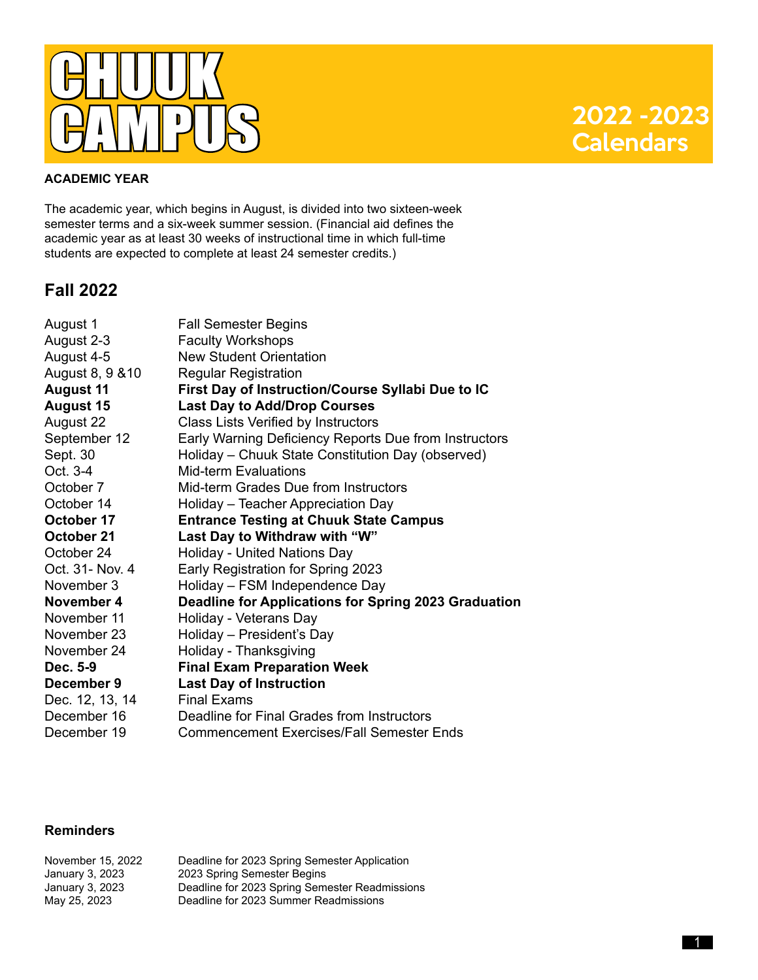

#### **ACADEMIC YEAR**

The academic year, which begins in August, is divided into two sixteen-week semester terms and a six-week summer session. (Financial aid defines the academic year as at least 30 weeks of instructional time in which full-time students are expected to complete at least 24 semester credits.)

### **Fall 2022**

| August 1         | <b>Fall Semester Begins</b>                           |
|------------------|-------------------------------------------------------|
| August 2-3       | <b>Faculty Workshops</b>                              |
| August 4-5       | <b>New Student Orientation</b>                        |
| August 8, 9 & 10 | <b>Regular Registration</b>                           |
| <b>August 11</b> | First Day of Instruction/Course Syllabi Due to IC     |
| <b>August 15</b> | <b>Last Day to Add/Drop Courses</b>                   |
| August 22        | Class Lists Verified by Instructors                   |
| September 12     | Early Warning Deficiency Reports Due from Instructors |
| Sept. 30         | Holiday - Chuuk State Constitution Day (observed)     |
| Oct. 3-4         | <b>Mid-term Evaluations</b>                           |
| October 7        | Mid-term Grades Due from Instructors                  |
| October 14       | Holiday - Teacher Appreciation Day                    |
| October 17       | <b>Entrance Testing at Chuuk State Campus</b>         |
| October 21       | Last Day to Withdraw with "W"                         |
| October 24       | Holiday - United Nations Day                          |
| Oct. 31- Nov. 4  | Early Registration for Spring 2023                    |
| November 3       | Holiday - FSM Independence Day                        |
| November 4       | Deadline for Applications for Spring 2023 Graduation  |
| November 11      | Holiday - Veterans Day                                |
| November 23      | Holiday - President's Day                             |
| November 24      | Holiday - Thanksgiving                                |
| Dec. 5-9         | <b>Final Exam Preparation Week</b>                    |
| December 9       | <b>Last Day of Instruction</b>                        |
| Dec. 12, 13, 14  | <b>Final Exams</b>                                    |
| December 16      | Deadline for Final Grades from Instructors            |
| December 19      | Commencement Exercises/Fall Semester Ends             |
|                  |                                                       |

### **Reminders**

| November 15, 2022 | Deadline for 2023 Spring Semester Application  |
|-------------------|------------------------------------------------|
| January 3, 2023   | 2023 Spring Semester Begins                    |
| January 3, 2023   | Deadline for 2023 Spring Semester Readmissions |
| May 25, 2023      | Deadline for 2023 Summer Readmissions          |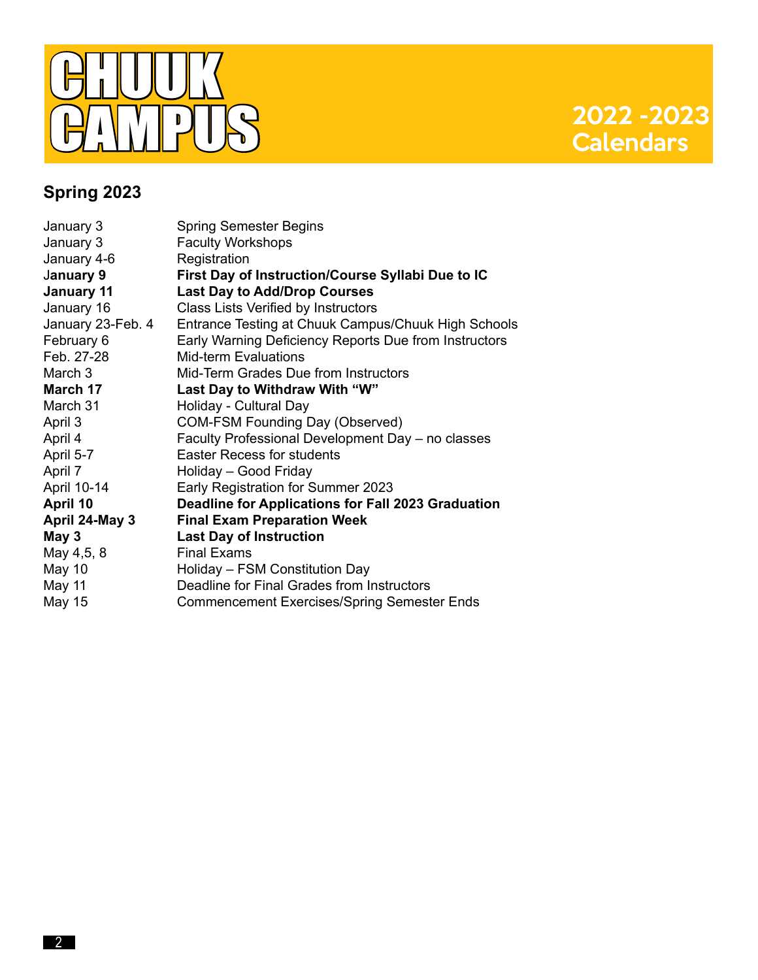

# **2022 - 2023**<br>Calendars

# **Spring 2023**

| January 3         | <b>Spring Semester Begins</b>                         |
|-------------------|-------------------------------------------------------|
| January 3         | <b>Faculty Workshops</b>                              |
| January 4-6       | Registration                                          |
| January 9         | First Day of Instruction/Course Syllabi Due to IC     |
| <b>January 11</b> | <b>Last Day to Add/Drop Courses</b>                   |
| January 16        | <b>Class Lists Verified by Instructors</b>            |
| January 23-Feb. 4 | Entrance Testing at Chuuk Campus/Chuuk High Schools   |
| February 6        | Early Warning Deficiency Reports Due from Instructors |
| Feb. 27-28        | Mid-term Evaluations                                  |
| March 3           | Mid-Term Grades Due from Instructors                  |
| March 17          | Last Day to Withdraw With "W"                         |
| March 31          | Holiday - Cultural Day                                |
| April 3           | <b>COM-FSM Founding Day (Observed)</b>                |
| April 4           | Faculty Professional Development Day - no classes     |
| April 5-7         | <b>Easter Recess for students</b>                     |
| April 7           | Holiday - Good Friday                                 |
| April 10-14       | Early Registration for Summer 2023                    |
| April 10          | Deadline for Applications for Fall 2023 Graduation    |
| April 24-May 3    | <b>Final Exam Preparation Week</b>                    |
| May 3             | <b>Last Day of Instruction</b>                        |
| May 4,5, 8        | <b>Final Exams</b>                                    |
| <b>May 10</b>     | Holiday - FSM Constitution Day                        |
| May 11            | Deadline for Final Grades from Instructors            |
| May 15            | <b>Commencement Exercises/Spring Semester Ends</b>    |